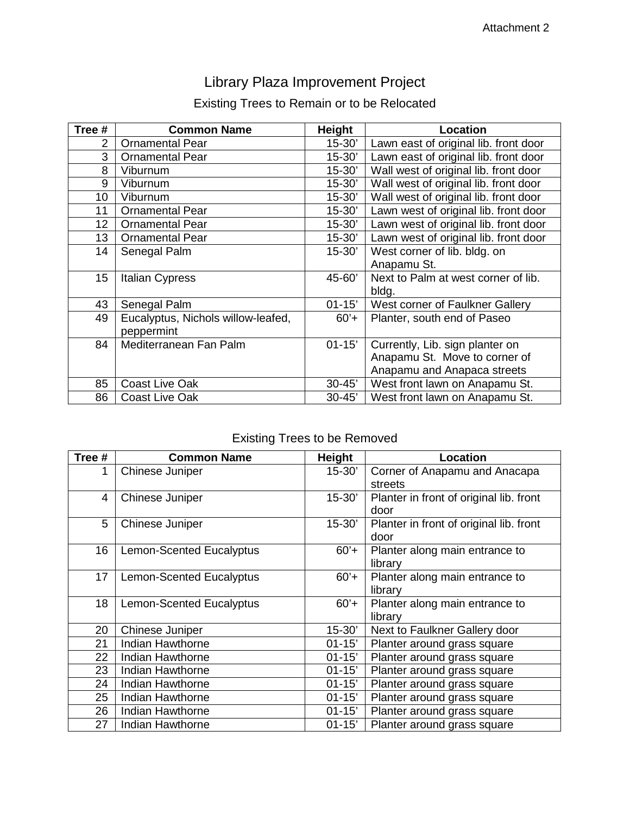# Library Plaza Improvement Project

## Existing Trees to Remain or to be Relocated

| Tree # | <b>Common Name</b>                 | Height     | Location                              |
|--------|------------------------------------|------------|---------------------------------------|
| 2      | <b>Ornamental Pear</b>             | $15 - 30'$ | Lawn east of original lib. front door |
| 3      | <b>Ornamental Pear</b>             | $15 - 30'$ | Lawn east of original lib. front door |
| 8      | Viburnum                           | $15 - 30'$ | Wall west of original lib. front door |
| 9      | Viburnum                           | $15 - 30'$ | Wall west of original lib. front door |
| 10     | Viburnum                           | $15 - 30'$ | Wall west of original lib. front door |
| 11     | <b>Ornamental Pear</b>             | $15 - 30'$ | Lawn west of original lib. front door |
| 12     | <b>Ornamental Pear</b>             | $15 - 30'$ | Lawn west of original lib. front door |
| 13     | <b>Ornamental Pear</b>             | $15 - 30'$ | Lawn west of original lib. front door |
| 14     | Senegal Palm                       | $15 - 30'$ | West corner of lib. bldg. on          |
|        |                                    |            | Anapamu St.                           |
| 15     | <b>Italian Cypress</b>             | 45-60'     | Next to Palm at west corner of lib.   |
|        |                                    |            | bldg.                                 |
| 43     | Senegal Palm                       | $01 - 15'$ | West corner of Faulkner Gallery       |
| 49     | Eucalyptus, Nichols willow-leafed, | $60'+$     | Planter, south end of Paseo           |
|        | peppermint                         |            |                                       |
| 84     | Mediterranean Fan Palm             | $01 - 15'$ | Currently, Lib. sign planter on       |
|        |                                    |            | Anapamu St. Move to corner of         |
|        |                                    |            | Anapamu and Anapaca streets           |
| 85     | <b>Coast Live Oak</b>              | $30 - 45'$ | West front lawn on Anapamu St.        |
| 86     | <b>Coast Live Oak</b>              | $30 - 45'$ | West front lawn on Anapamu St.        |

## Existing Trees to be Removed

| Tree # | <b>Common Name</b>              | Height     | Location                                |
|--------|---------------------------------|------------|-----------------------------------------|
| 1      | Chinese Juniper                 | $15 - 30'$ | Corner of Anapamu and Anacapa           |
|        |                                 |            | streets                                 |
| 4      | Chinese Juniper                 | $15 - 30'$ | Planter in front of original lib. front |
|        |                                 |            | door                                    |
| 5      | Chinese Juniper                 | $15 - 30'$ | Planter in front of original lib. front |
|        |                                 |            | door                                    |
| 16     | <b>Lemon-Scented Eucalyptus</b> | $60'+$     | Planter along main entrance to          |
|        |                                 |            | library                                 |
| 17     | <b>Lemon-Scented Eucalyptus</b> | $60'+$     | Planter along main entrance to          |
|        |                                 |            | library                                 |
| 18     | <b>Lemon-Scented Eucalyptus</b> | $60'+$     | Planter along main entrance to          |
|        |                                 |            | library                                 |
| 20     | Chinese Juniper                 | $15 - 30'$ | Next to Faulkner Gallery door           |
| 21     | Indian Hawthorne                | $01 - 15'$ | Planter around grass square             |
| 22     | Indian Hawthorne                | $01 - 15'$ | Planter around grass square             |
| 23     | Indian Hawthorne                | $01 - 15'$ | Planter around grass square             |
| 24     | Indian Hawthorne                | $01 - 15'$ | Planter around grass square             |
| 25     | Indian Hawthorne                | $01 - 15'$ | Planter around grass square             |
| 26     | Indian Hawthorne                | $01 - 15'$ | Planter around grass square             |
| 27     | Indian Hawthorne                | $01 - 15'$ | Planter around grass square             |